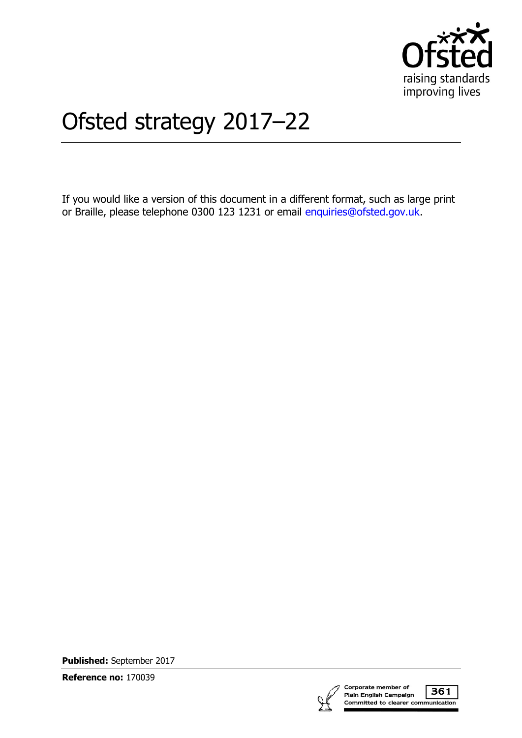

# Ofsted strategy 2017–22

If you would like a version of this document in a different format, such as large print or Braille, please telephone 0300 123 1231 or email [enquiries@ofsted.gov.uk.](mailto:%20enquiries@ofsted.gov.uk)

**Published:** September 2017

**Reference no:** 170039



361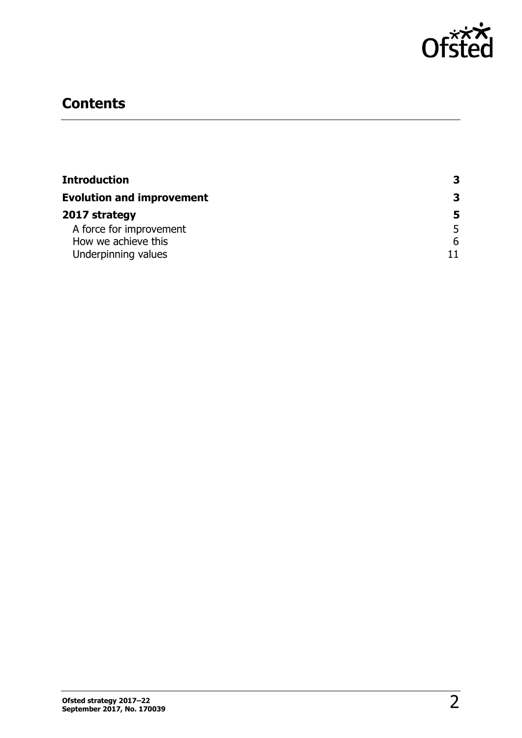

# **Contents**

| Introduction<br><b>Evolution and improvement</b> | 3 |
|--------------------------------------------------|---|
|                                                  | 3 |
| 2017 strategy                                    | 5 |
| A force for improvement                          | 5 |
| How we achieve this                              | 6 |
| Underpinning values                              |   |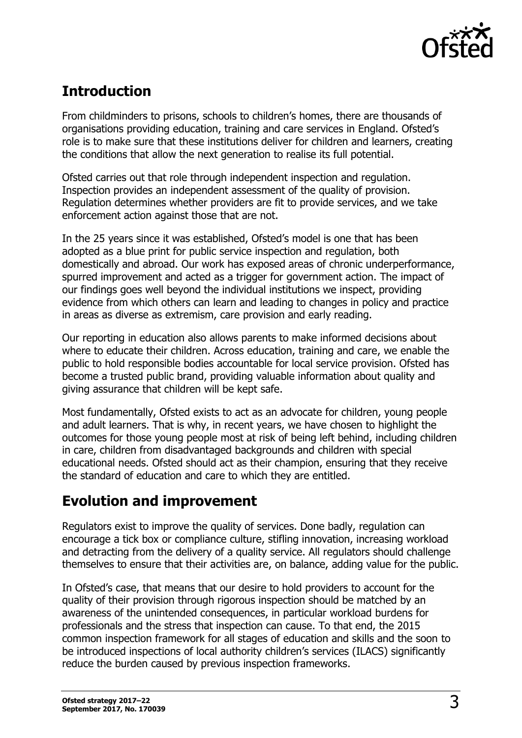

# <span id="page-2-0"></span>**Introduction**

From childminders to prisons, schools to children's homes, there are thousands of organisations providing education, training and care services in England. Ofsted's role is to make sure that these institutions deliver for children and learners, creating the conditions that allow the next generation to realise its full potential.

Ofsted carries out that role through independent inspection and regulation. Inspection provides an independent assessment of the quality of provision. Regulation determines whether providers are fit to provide services, and we take enforcement action against those that are not.

In the 25 years since it was established, Ofsted's model is one that has been adopted as a blue print for public service inspection and regulation, both domestically and abroad. Our work has exposed areas of chronic underperformance, spurred improvement and acted as a trigger for government action. The impact of our findings goes well beyond the individual institutions we inspect, providing evidence from which others can learn and leading to changes in policy and practice in areas as diverse as extremism, care provision and early reading.

Our reporting in education also allows parents to make informed decisions about where to educate their children. Across education, training and care, we enable the public to hold responsible bodies accountable for local service provision. Ofsted has become a trusted public brand, providing valuable information about quality and giving assurance that children will be kept safe.

Most fundamentally, Ofsted exists to act as an advocate for children, young people and adult learners. That is why, in recent years, we have chosen to highlight the outcomes for those young people most at risk of being left behind, including children in care, children from disadvantaged backgrounds and children with special educational needs. Ofsted should act as their champion, ensuring that they receive the standard of education and care to which they are entitled.

## <span id="page-2-1"></span>**Evolution and improvement**

Regulators exist to improve the quality of services. Done badly, regulation can encourage a tick box or compliance culture, stifling innovation, increasing workload and detracting from the delivery of a quality service. All regulators should challenge themselves to ensure that their activities are, on balance, adding value for the public.

In Ofsted's case, that means that our desire to hold providers to account for the quality of their provision through rigorous inspection should be matched by an awareness of the unintended consequences, in particular workload burdens for professionals and the stress that inspection can cause. To that end, the 2015 common inspection framework for all stages of education and skills and the soon to be introduced inspections of local authority children's services (ILACS) significantly reduce the burden caused by previous inspection frameworks.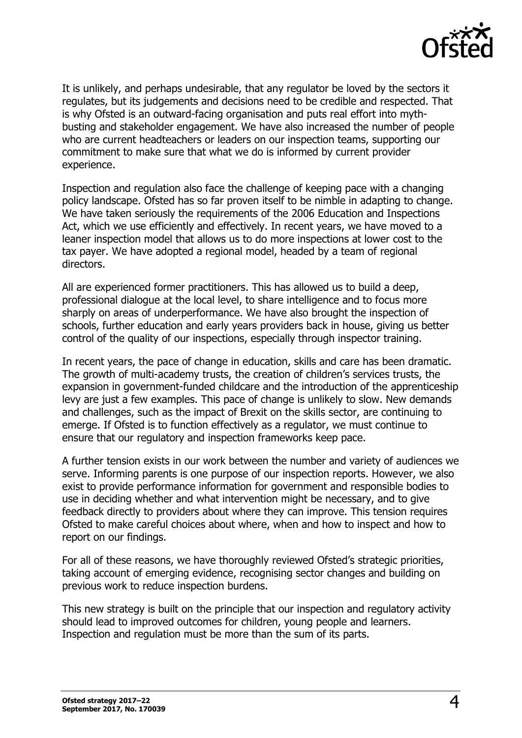

It is unlikely, and perhaps undesirable, that any regulator be loved by the sectors it regulates, but its judgements and decisions need to be credible and respected. That is why Ofsted is an outward-facing organisation and puts real effort into mythbusting and stakeholder engagement. We have also increased the number of people who are current headteachers or leaders on our inspection teams, supporting our commitment to make sure that what we do is informed by current provider experience.

Inspection and regulation also face the challenge of keeping pace with a changing policy landscape. Ofsted has so far proven itself to be nimble in adapting to change. We have taken seriously the requirements of the 2006 Education and Inspections Act, which we use efficiently and effectively. In recent years, we have moved to a leaner inspection model that allows us to do more inspections at lower cost to the tax payer. We have adopted a regional model, headed by a team of regional directors.

All are experienced former practitioners. This has allowed us to build a deep, professional dialogue at the local level, to share intelligence and to focus more sharply on areas of underperformance. We have also brought the inspection of schools, further education and early years providers back in house, giving us better control of the quality of our inspections, especially through inspector training.

In recent years, the pace of change in education, skills and care has been dramatic. The growth of multi-academy trusts, the creation of children's services trusts, the expansion in government-funded childcare and the introduction of the apprenticeship levy are just a few examples. This pace of change is unlikely to slow. New demands and challenges, such as the impact of Brexit on the skills sector, are continuing to emerge. If Ofsted is to function effectively as a regulator, we must continue to ensure that our regulatory and inspection frameworks keep pace.

A further tension exists in our work between the number and variety of audiences we serve. Informing parents is one purpose of our inspection reports. However, we also exist to provide performance information for government and responsible bodies to use in deciding whether and what intervention might be necessary, and to give feedback directly to providers about where they can improve. This tension requires Ofsted to make careful choices about where, when and how to inspect and how to report on our findings.

For all of these reasons, we have thoroughly reviewed Ofsted's strategic priorities, taking account of emerging evidence, recognising sector changes and building on previous work to reduce inspection burdens.

This new strategy is built on the principle that our inspection and regulatory activity should lead to improved outcomes for children, young people and learners. Inspection and regulation must be more than the sum of its parts.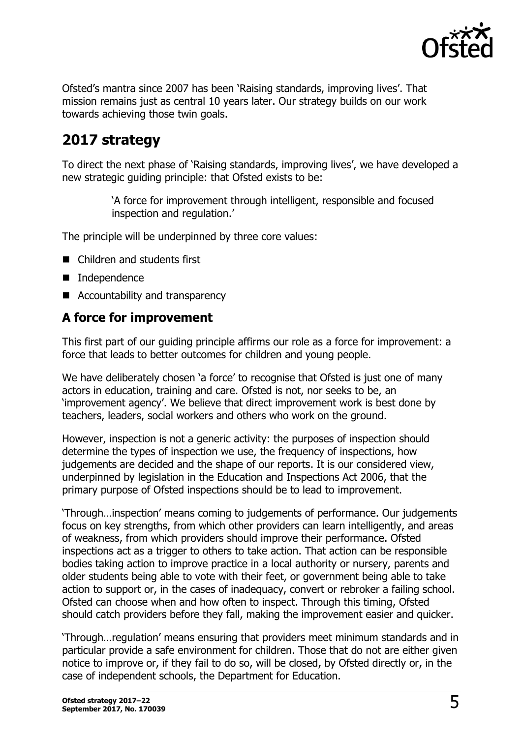

Ofsted's mantra since 2007 has been 'Raising standards, improving lives'. That mission remains just as central 10 years later. Our strategy builds on our work towards achieving those twin goals.

## <span id="page-4-0"></span>**2017 strategy**

To direct the next phase of 'Raising standards, improving lives', we have developed a new strategic guiding principle: that Ofsted exists to be:

> 'A force for improvement through intelligent, responsible and focused inspection and regulation.'

The principle will be underpinned by three core values:

- Children and students first
- **Independence**
- Accountability and transparency

## <span id="page-4-1"></span>**A force for improvement**

This first part of our guiding principle affirms our role as a force for improvement: a force that leads to better outcomes for children and young people.

We have deliberately chosen 'a force' to recognise that Ofsted is just one of many actors in education, training and care. Ofsted is not, nor seeks to be, an 'improvement agency'. We believe that direct improvement work is best done by teachers, leaders, social workers and others who work on the ground.

However, inspection is not a generic activity: the purposes of inspection should determine the types of inspection we use, the frequency of inspections, how judgements are decided and the shape of our reports. It is our considered view, underpinned by legislation in the Education and Inspections Act 2006, that the primary purpose of Ofsted inspections should be to lead to improvement.

'Through…inspection' means coming to judgements of performance. Our judgements focus on key strengths, from which other providers can learn intelligently, and areas of weakness, from which providers should improve their performance. Ofsted inspections act as a trigger to others to take action. That action can be responsible bodies taking action to improve practice in a local authority or nursery, parents and older students being able to vote with their feet, or government being able to take action to support or, in the cases of inadequacy, convert or rebroker a failing school. Ofsted can choose when and how often to inspect. Through this timing, Ofsted should catch providers before they fall, making the improvement easier and quicker.

'Through…regulation' means ensuring that providers meet minimum standards and in particular provide a safe environment for children. Those that do not are either given notice to improve or, if they fail to do so, will be closed, by Ofsted directly or, in the case of independent schools, the Department for Education.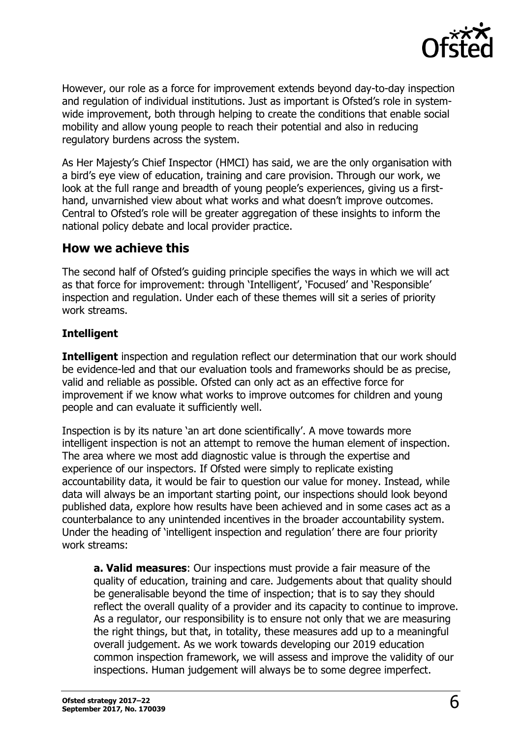

However, our role as a force for improvement extends beyond day-to-day inspection and regulation of individual institutions. Just as important is Ofsted's role in systemwide improvement, both through helping to create the conditions that enable social mobility and allow young people to reach their potential and also in reducing regulatory burdens across the system.

As Her Majesty's Chief Inspector (HMCI) has said, we are the only organisation with a bird's eye view of education, training and care provision. Through our work, we look at the full range and breadth of young people's experiences, giving us a firsthand, unvarnished view about what works and what doesn't improve outcomes. Central to Ofsted's role will be greater aggregation of these insights to inform the national policy debate and local provider practice.

### <span id="page-5-0"></span>**How we achieve this**

The second half of Ofsted's guiding principle specifies the ways in which we will act as that force for improvement: through 'Intelligent', 'Focused' and 'Responsible' inspection and regulation. Under each of these themes will sit a series of priority work streams.

#### **Intelligent**

**Intelligent** inspection and regulation reflect our determination that our work should be evidence-led and that our evaluation tools and frameworks should be as precise, valid and reliable as possible. Ofsted can only act as an effective force for improvement if we know what works to improve outcomes for children and young people and can evaluate it sufficiently well.

Inspection is by its nature 'an art done scientifically'. A move towards more intelligent inspection is not an attempt to remove the human element of inspection. The area where we most add diagnostic value is through the expertise and experience of our inspectors. If Ofsted were simply to replicate existing accountability data, it would be fair to question our value for money. Instead, while data will always be an important starting point, our inspections should look beyond published data, explore how results have been achieved and in some cases act as a counterbalance to any unintended incentives in the broader accountability system. Under the heading of 'intelligent inspection and regulation' there are four priority work streams:

**a. Valid measures**: Our inspections must provide a fair measure of the quality of education, training and care. Judgements about that quality should be generalisable beyond the time of inspection; that is to say they should reflect the overall quality of a provider and its capacity to continue to improve. As a regulator, our responsibility is to ensure not only that we are measuring the right things, but that, in totality, these measures add up to a meaningful overall judgement. As we work towards developing our 2019 education common inspection framework, we will assess and improve the validity of our inspections. Human judgement will always be to some degree imperfect.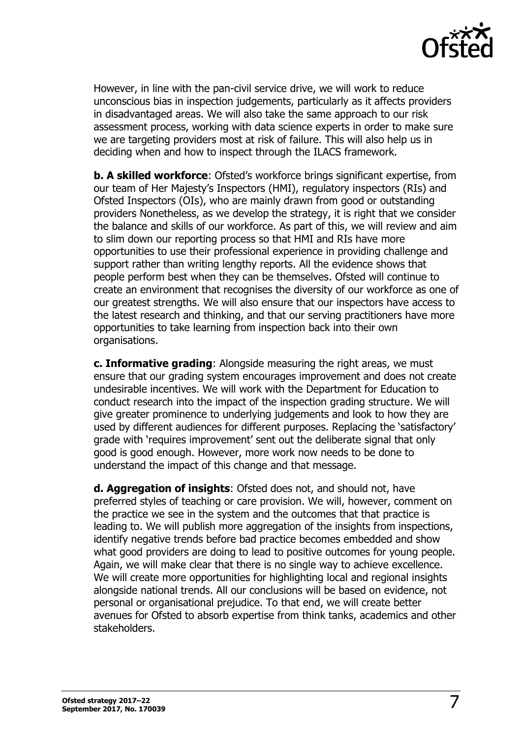

However, in line with the pan-civil service drive, we will work to reduce unconscious bias in inspection judgements, particularly as it affects providers in disadvantaged areas. We will also take the same approach to our risk assessment process, working with data science experts in order to make sure we are targeting providers most at risk of failure. This will also help us in deciding when and how to inspect through the ILACS framework.

**b. A skilled workforce**: Ofsted's workforce brings significant expertise, from our team of Her Majesty's Inspectors (HMI), regulatory inspectors (RIs) and Ofsted Inspectors (OIs), who are mainly drawn from good or outstanding providers Nonetheless, as we develop the strategy, it is right that we consider the balance and skills of our workforce. As part of this, we will review and aim to slim down our reporting process so that HMI and RIs have more opportunities to use their professional experience in providing challenge and support rather than writing lengthy reports. All the evidence shows that people perform best when they can be themselves. Ofsted will continue to create an environment that recognises the diversity of our workforce as one of our greatest strengths. We will also ensure that our inspectors have access to the latest research and thinking, and that our serving practitioners have more opportunities to take learning from inspection back into their own organisations.

**c. Informative grading**: Alongside measuring the right areas, we must ensure that our grading system encourages improvement and does not create undesirable incentives. We will work with the Department for Education to conduct research into the impact of the inspection grading structure. We will give greater prominence to underlying judgements and look to how they are used by different audiences for different purposes. Replacing the 'satisfactory' grade with 'requires improvement' sent out the deliberate signal that only good is good enough. However, more work now needs to be done to understand the impact of this change and that message.

**d. Aggregation of insights**: Ofsted does not, and should not, have preferred styles of teaching or care provision. We will, however, comment on the practice we see in the system and the outcomes that that practice is leading to. We will publish more aggregation of the insights from inspections, identify negative trends before bad practice becomes embedded and show what good providers are doing to lead to positive outcomes for young people. Again, we will make clear that there is no single way to achieve excellence. We will create more opportunities for highlighting local and regional insights alongside national trends. All our conclusions will be based on evidence, not personal or organisational prejudice. To that end, we will create better avenues for Ofsted to absorb expertise from think tanks, academics and other stakeholders.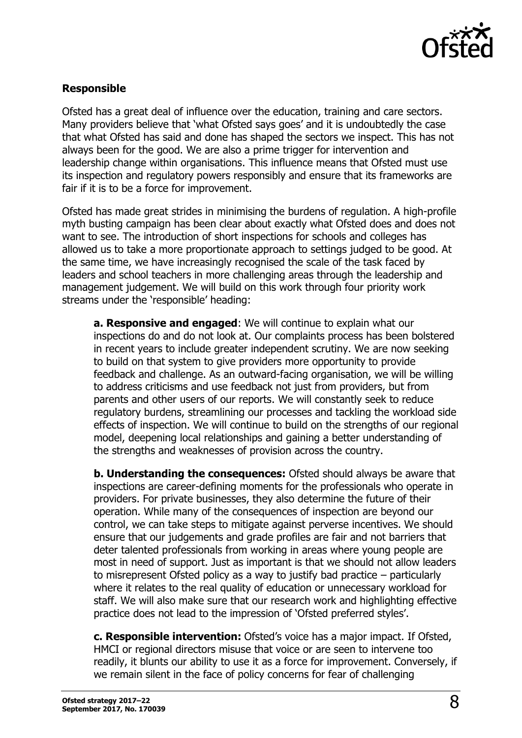

#### **Responsible**

Ofsted has a great deal of influence over the education, training and care sectors. Many providers believe that 'what Ofsted says goes' and it is undoubtedly the case that what Ofsted has said and done has shaped the sectors we inspect. This has not always been for the good. We are also a prime trigger for intervention and leadership change within organisations. This influence means that Ofsted must use its inspection and regulatory powers responsibly and ensure that its frameworks are fair if it is to be a force for improvement.

Ofsted has made great strides in minimising the burdens of regulation. A high-profile myth busting campaign has been clear about exactly what Ofsted does and does not want to see. The introduction of short inspections for schools and colleges has allowed us to take a more proportionate approach to settings judged to be good. At the same time, we have increasingly recognised the scale of the task faced by leaders and school teachers in more challenging areas through the leadership and management judgement. We will build on this work through four priority work streams under the 'responsible' heading:

**a. Responsive and engaged**: We will continue to explain what our inspections do and do not look at. Our complaints process has been bolstered in recent years to include greater independent scrutiny. We are now seeking to build on that system to give providers more opportunity to provide feedback and challenge. As an outward-facing organisation, we will be willing to address criticisms and use feedback not just from providers, but from parents and other users of our reports. We will constantly seek to reduce regulatory burdens, streamlining our processes and tackling the workload side effects of inspection. We will continue to build on the strengths of our regional model, deepening local relationships and gaining a better understanding of the strengths and weaknesses of provision across the country.

**b. Understanding the consequences:** Ofsted should always be aware that inspections are career-defining moments for the professionals who operate in providers. For private businesses, they also determine the future of their operation. While many of the consequences of inspection are beyond our control, we can take steps to mitigate against perverse incentives. We should ensure that our judgements and grade profiles are fair and not barriers that deter talented professionals from working in areas where young people are most in need of support. Just as important is that we should not allow leaders to misrepresent Ofsted policy as a way to justify bad practice – particularly where it relates to the real quality of education or unnecessary workload for staff. We will also make sure that our research work and highlighting effective practice does not lead to the impression of 'Ofsted preferred styles'.

**c. Responsible intervention:** Ofsted's voice has a major impact. If Ofsted, HMCI or regional directors misuse that voice or are seen to intervene too readily, it blunts our ability to use it as a force for improvement. Conversely, if we remain silent in the face of policy concerns for fear of challenging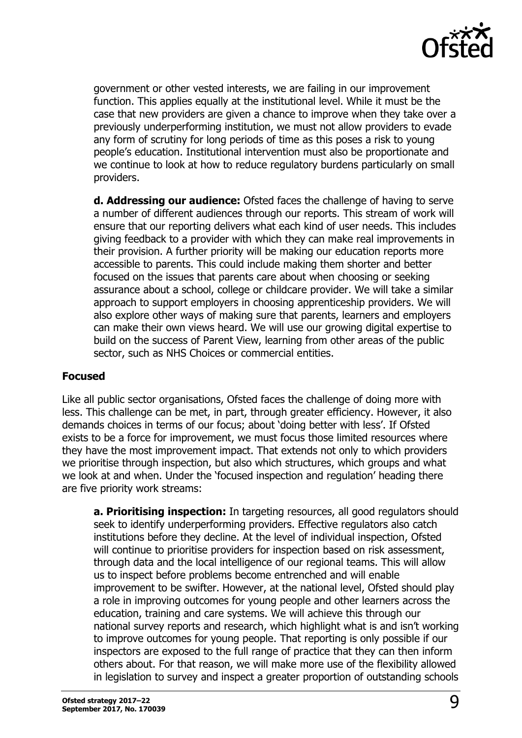

government or other vested interests, we are failing in our improvement function. This applies equally at the institutional level. While it must be the case that new providers are given a chance to improve when they take over a previously underperforming institution, we must not allow providers to evade any form of scrutiny for long periods of time as this poses a risk to young people's education. Institutional intervention must also be proportionate and we continue to look at how to reduce regulatory burdens particularly on small providers.

**d. Addressing our audience:** Ofsted faces the challenge of having to serve a number of different audiences through our reports. This stream of work will ensure that our reporting delivers what each kind of user needs. This includes giving feedback to a provider with which they can make real improvements in their provision. A further priority will be making our education reports more accessible to parents. This could include making them shorter and better focused on the issues that parents care about when choosing or seeking assurance about a school, college or childcare provider. We will take a similar approach to support employers in choosing apprenticeship providers. We will also explore other ways of making sure that parents, learners and employers can make their own views heard. We will use our growing digital expertise to build on the success of Parent View, learning from other areas of the public sector, such as NHS Choices or commercial entities.

#### **Focused**

Like all public sector organisations, Ofsted faces the challenge of doing more with less. This challenge can be met, in part, through greater efficiency. However, it also demands choices in terms of our focus; about 'doing better with less'. If Ofsted exists to be a force for improvement, we must focus those limited resources where they have the most improvement impact. That extends not only to which providers we prioritise through inspection, but also which structures, which groups and what we look at and when. Under the 'focused inspection and regulation' heading there are five priority work streams:

**a. Prioritising inspection:** In targeting resources, all good regulators should seek to identify underperforming providers. Effective regulators also catch institutions before they decline. At the level of individual inspection, Ofsted will continue to prioritise providers for inspection based on risk assessment, through data and the local intelligence of our regional teams. This will allow us to inspect before problems become entrenched and will enable improvement to be swifter. However, at the national level, Ofsted should play a role in improving outcomes for young people and other learners across the education, training and care systems. We will achieve this through our national survey reports and research, which highlight what is and isn't working to improve outcomes for young people. That reporting is only possible if our inspectors are exposed to the full range of practice that they can then inform others about. For that reason, we will make more use of the flexibility allowed in legislation to survey and inspect a greater proportion of outstanding schools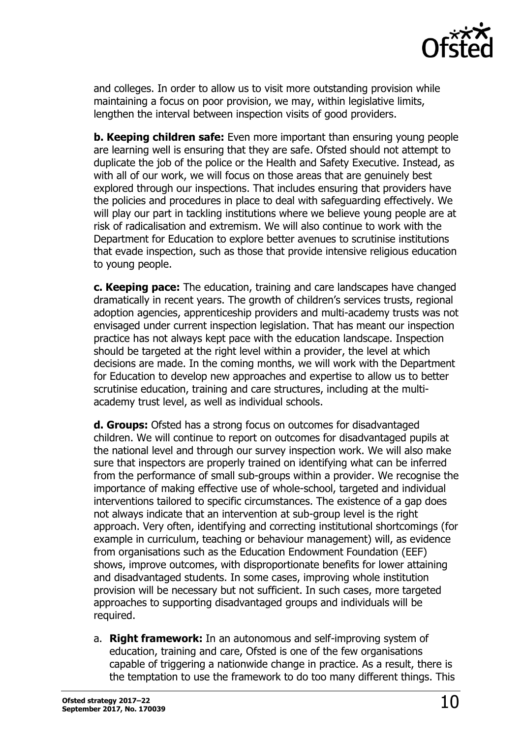

and colleges. In order to allow us to visit more outstanding provision while maintaining a focus on poor provision, we may, within legislative limits, lengthen the interval between inspection visits of good providers.

**b. Keeping children safe:** Even more important than ensuring young people are learning well is ensuring that they are safe. Ofsted should not attempt to duplicate the job of the police or the Health and Safety Executive. Instead, as with all of our work, we will focus on those areas that are genuinely best explored through our inspections. That includes ensuring that providers have the policies and procedures in place to deal with safeguarding effectively. We will play our part in tackling institutions where we believe young people are at risk of radicalisation and extremism. We will also continue to work with the Department for Education to explore better avenues to scrutinise institutions that evade inspection, such as those that provide intensive religious education to young people.

**c. Keeping pace:** The education, training and care landscapes have changed dramatically in recent years. The growth of children's services trusts, regional adoption agencies, apprenticeship providers and multi-academy trusts was not envisaged under current inspection legislation. That has meant our inspection practice has not always kept pace with the education landscape. Inspection should be targeted at the right level within a provider, the level at which decisions are made. In the coming months, we will work with the Department for Education to develop new approaches and expertise to allow us to better scrutinise education, training and care structures, including at the multiacademy trust level, as well as individual schools.

**d. Groups:** Ofsted has a strong focus on outcomes for disadvantaged children. We will continue to report on outcomes for disadvantaged pupils at the national level and through our survey inspection work. We will also make sure that inspectors are properly trained on identifying what can be inferred from the performance of small sub-groups within a provider. We recognise the importance of making effective use of whole-school, targeted and individual interventions tailored to specific circumstances. The existence of a gap does not always indicate that an intervention at sub-group level is the right approach. Very often, identifying and correcting institutional shortcomings (for example in curriculum, teaching or behaviour management) will, as evidence from organisations such as the Education Endowment Foundation (EEF) shows, improve outcomes, with disproportionate benefits for lower attaining and disadvantaged students. In some cases, improving whole institution provision will be necessary but not sufficient. In such cases, more targeted approaches to supporting disadvantaged groups and individuals will be required.

a. **Right framework:** In an autonomous and self-improving system of education, training and care, Ofsted is one of the few organisations capable of triggering a nationwide change in practice. As a result, there is the temptation to use the framework to do too many different things. This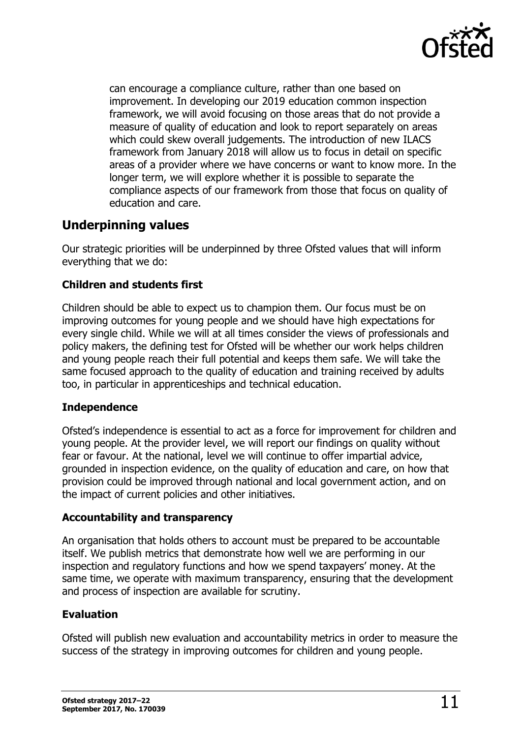

can encourage a compliance culture, rather than one based on improvement. In developing our 2019 education common inspection framework, we will avoid focusing on those areas that do not provide a measure of quality of education and look to report separately on areas which could skew overall judgements. The introduction of new ILACS framework from January 2018 will allow us to focus in detail on specific areas of a provider where we have concerns or want to know more. In the longer term, we will explore whether it is possible to separate the compliance aspects of our framework from those that focus on quality of education and care.

## <span id="page-10-0"></span>**Underpinning values**

Our strategic priorities will be underpinned by three Ofsted values that will inform everything that we do:

#### **Children and students first**

Children should be able to expect us to champion them. Our focus must be on improving outcomes for young people and we should have high expectations for every single child. While we will at all times consider the views of professionals and policy makers, the defining test for Ofsted will be whether our work helps children and young people reach their full potential and keeps them safe. We will take the same focused approach to the quality of education and training received by adults too, in particular in apprenticeships and technical education.

#### **Independence**

Ofsted's independence is essential to act as a force for improvement for children and young people. At the provider level, we will report our findings on quality without fear or favour. At the national, level we will continue to offer impartial advice, grounded in inspection evidence, on the quality of education and care, on how that provision could be improved through national and local government action, and on the impact of current policies and other initiatives.

#### **Accountability and transparency**

An organisation that holds others to account must be prepared to be accountable itself. We publish metrics that demonstrate how well we are performing in our inspection and regulatory functions and how we spend taxpayers' money. At the same time, we operate with maximum transparency, ensuring that the development and process of inspection are available for scrutiny.

#### **Evaluation**

Ofsted will publish new evaluation and accountability metrics in order to measure the success of the strategy in improving outcomes for children and young people.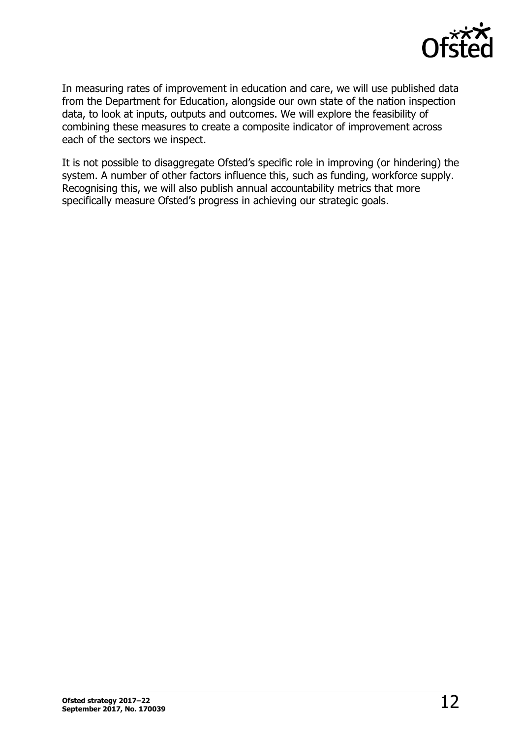

In measuring rates of improvement in education and care, we will use published data from the Department for Education, alongside our own state of the nation inspection data, to look at inputs, outputs and outcomes. We will explore the feasibility of combining these measures to create a composite indicator of improvement across each of the sectors we inspect.

It is not possible to disaggregate Ofsted's specific role in improving (or hindering) the system. A number of other factors influence this, such as funding, workforce supply. Recognising this, we will also publish annual accountability metrics that more specifically measure Ofsted's progress in achieving our strategic goals.